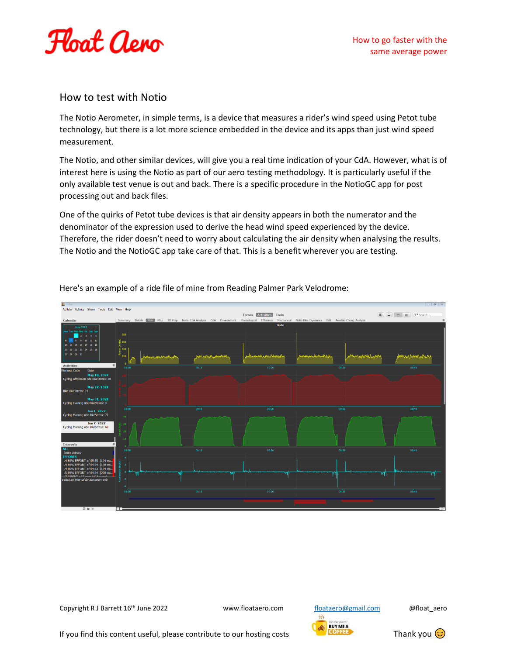

## How to test with Notio

The Notio Aerometer, in simple terms, is a device that measures a rider's wind speed using Petot tube technology, but there is a lot more science embedded in the device and its apps than just wind speed measurement.

The Notio, and other similar devices, will give you a real time indication of your CdA. However, what is of interest here is using the Notio as part of our aero testing methodology. It is particularly useful if the only available test venue is out and back. There is a specific procedure in the NotioGC app for post processing out and back files.

One of the quirks of Petot tube devices is that air density appears in both the numerator and the denominator of the expression used to derive the head wind speed experienced by the device. Therefore, the rider doesn't need to worry about calculating the air density when analysing the results. The Notio and the NotioGC app take care of that. This is a benefit wherever you are testing.



Here's an example of a ride file of mine from Reading Palmer Park Velodrome:

Copyright R J Barrett 16<sup>th</sup> June 2022 www.floataero.com [floataero@gmail.com](mailto:floataero@gmail.com) @float\_aero

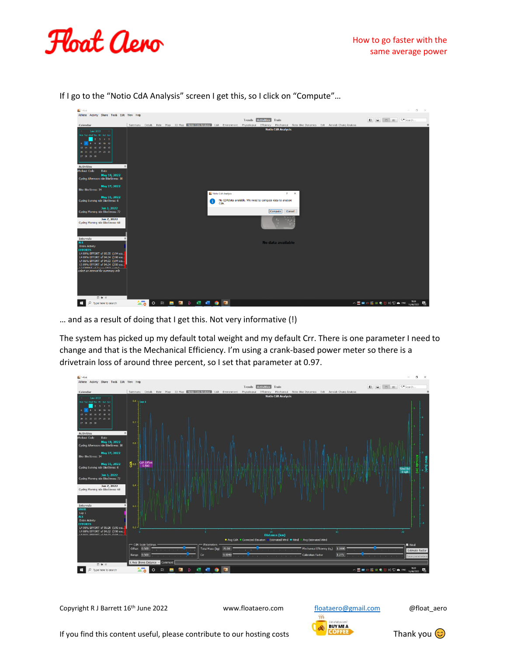



If I go to the "Notio CdA Analysis" screen I get this, so I click on "Compute"…

… and as a result of doing that I get this. Not very informative (!)

The system has picked up my default total weight and my default Crr. There is one parameter I need to change and that is the Mechanical Efficiency. I'm using a crank-based power meter so there is a drivetrain loss of around three percent, so I set that parameter at 0.97.



Copyright R J Barrett 16<sup>th</sup> June 2022 www.floataero.com [floataero@gmail.com](mailto:floataero@gmail.com) @float\_aero



If you find this content useful, please contribute to our hosting costs Thank you  $\odot$ 

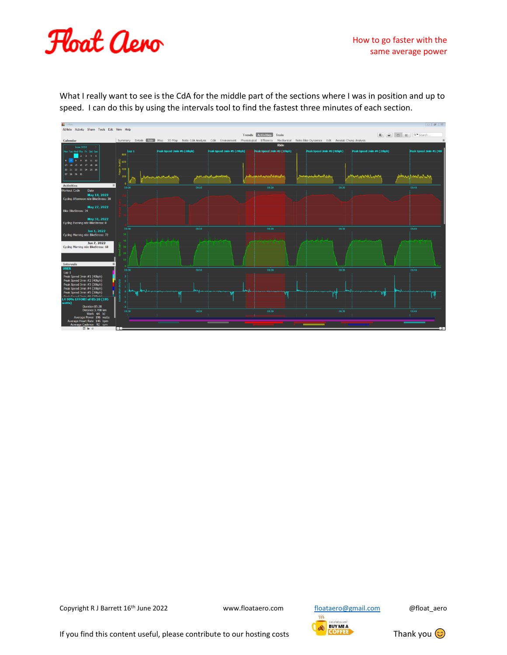## How to go faster with the same average power



What I really want to see is the CdA for the middle part of the sections where I was in position and up to speed. I can do this by using the intervals tool to find the fastest three minutes of each section.



Copyright R J Barrett 16<sup>th</sup> June 2022 www.floataero.com [floataero@gmail.com](mailto:floataero@gmail.com) @float\_aero